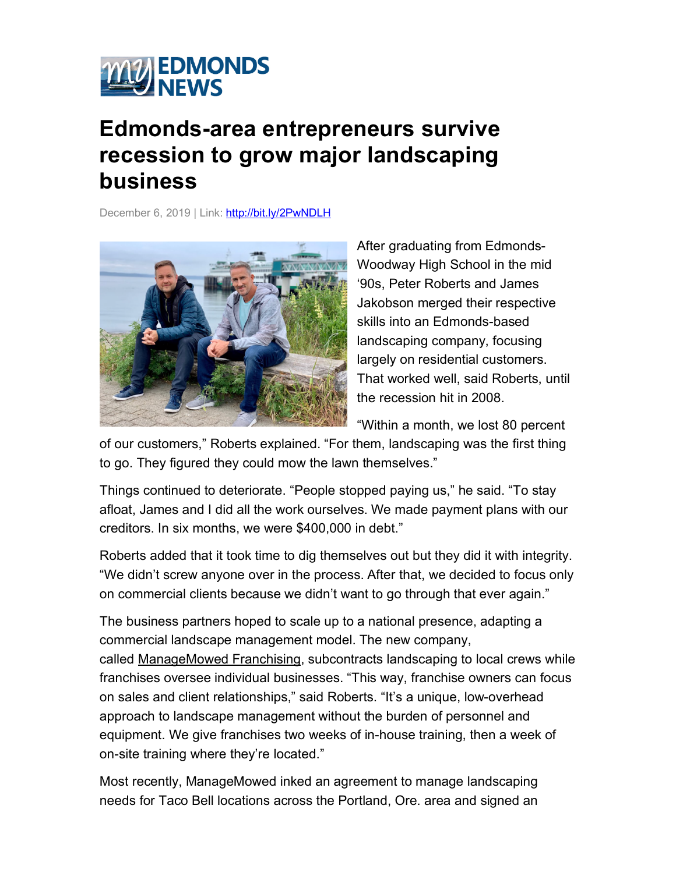

## **Edmonds-area entrepreneurs survive recession to grow major landscaping business**

December 6, 2019 | Link: http://bit.ly/2PwNDLH



After graduating from Edmonds-Woodway High School in the mid '90s, Peter Roberts and James Jakobson merged their respective skills into an Edmonds-based landscaping company, focusing largely on residential customers. That worked well, said Roberts, until the recession hit in 2008.

"Within a month, we lost 80 percent

of our customers," Roberts explained. "For them, landscaping was the first thing to go. They figured they could mow the lawn themselves."

Things continued to deteriorate. "People stopped paying us," he said. "To stay afloat, James and I did all the work ourselves. We made payment plans with our creditors. In six months, we were \$400,000 in debt."

Roberts added that it took time to dig themselves out but they did it with integrity. "We didn't screw anyone over in the process. After that, we decided to focus only on commercial clients because we didn't want to go through that ever again."

The business partners hoped to scale up to a national presence, adapting a commercial landscape management model. The new company, called ManageMowed Franchising, subcontracts landscaping to local crews while franchises oversee individual businesses. "This way, franchise owners can focus on sales and client relationships," said Roberts. "It's a unique, low-overhead approach to landscape management without the burden of personnel and equipment. We give franchises two weeks of in-house training, then a week of on-site training where they're located."

Most recently, ManageMowed inked an agreement to manage landscaping needs for Taco Bell locations across the Portland, Ore. area and signed an